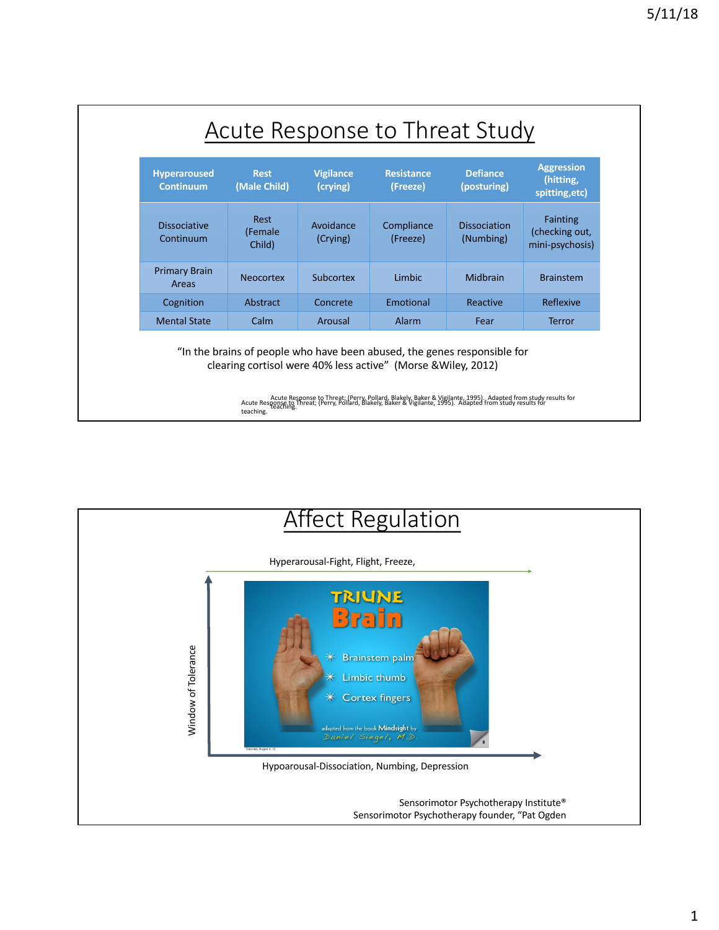| <b>Hyperaroused</b><br><b>Continuum</b> | <b>Rest</b><br>(Male Child)      | <b>Vigilance</b><br>(crying) | <b>Resistance</b><br>(Freeze) | <b>Defiance</b><br>(posturing)   | <b>Aggression</b><br>(hitting,<br>spitting, etc)     |
|-----------------------------------------|----------------------------------|------------------------------|-------------------------------|----------------------------------|------------------------------------------------------|
| <b>Dissociative</b><br>Continuum        | <b>Rest</b><br>(Female<br>Child) | Avoidance<br>(Crying)        | Compliance<br>(Freeze)        | <b>Dissociation</b><br>(Numbing) | <b>Fainting</b><br>(checking out,<br>mini-psychosis) |
| <b>Primary Brain</b><br>Areas           | <b>Neocortex</b>                 | Subcortex                    | Limbic                        | Midbrain                         | <b>Brainstem</b>                                     |
| Cognition                               | Abstract                         | Concrete                     | Emotional                     | Reactive                         | Reflexive                                            |
| <b>Mental State</b>                     | Calm                             | Arousal                      | Alarm                         | Fear                             | <b>Terror</b>                                        |

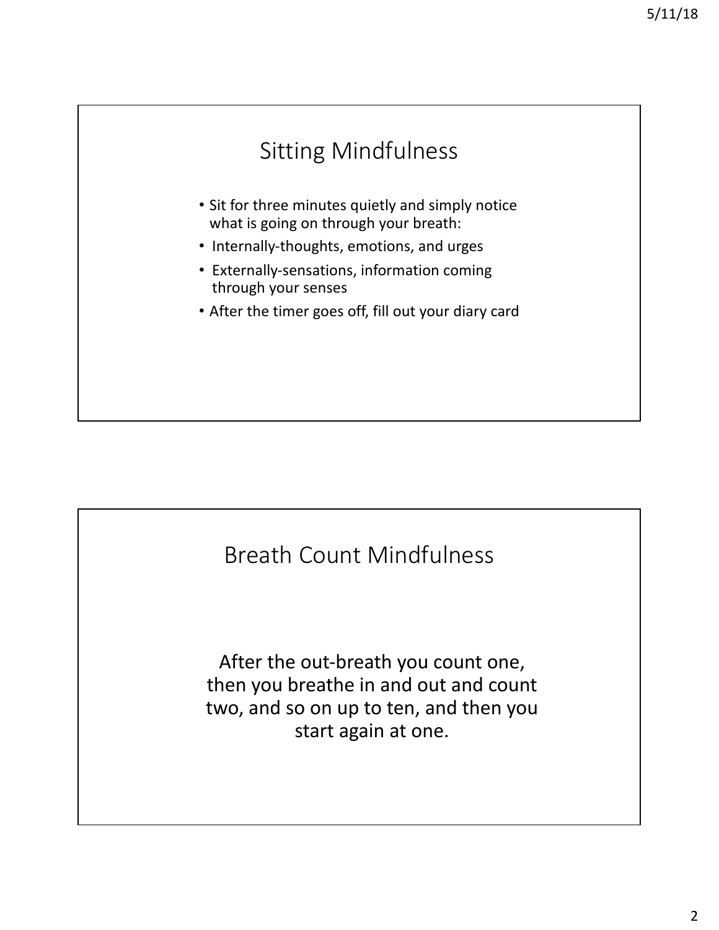



After the out-breath you count one, then you breathe in and out and count two, and so on up to ten, and then you start again at one.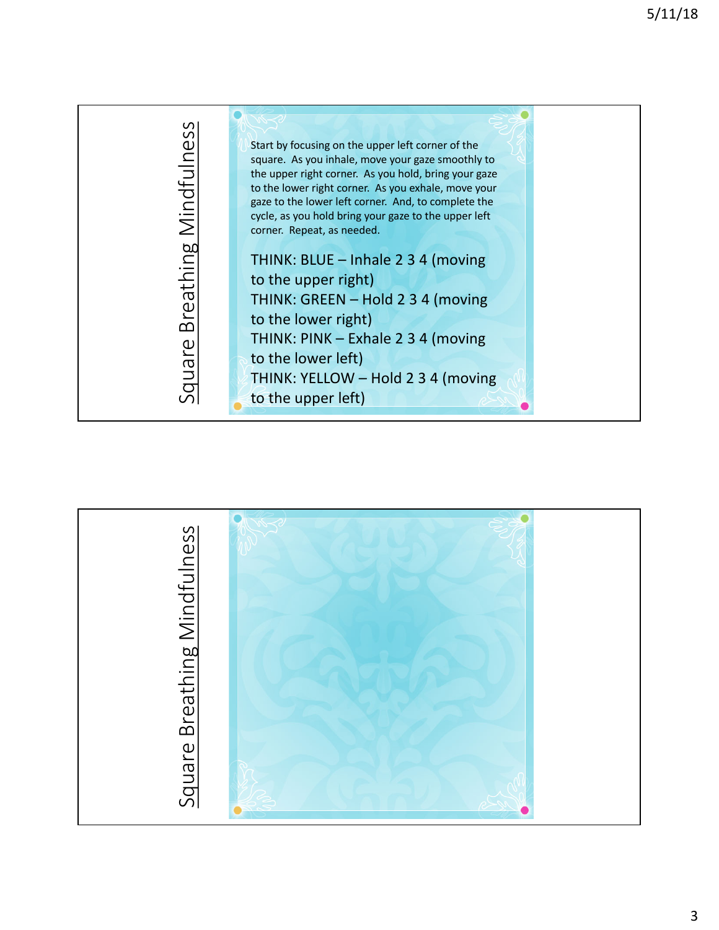

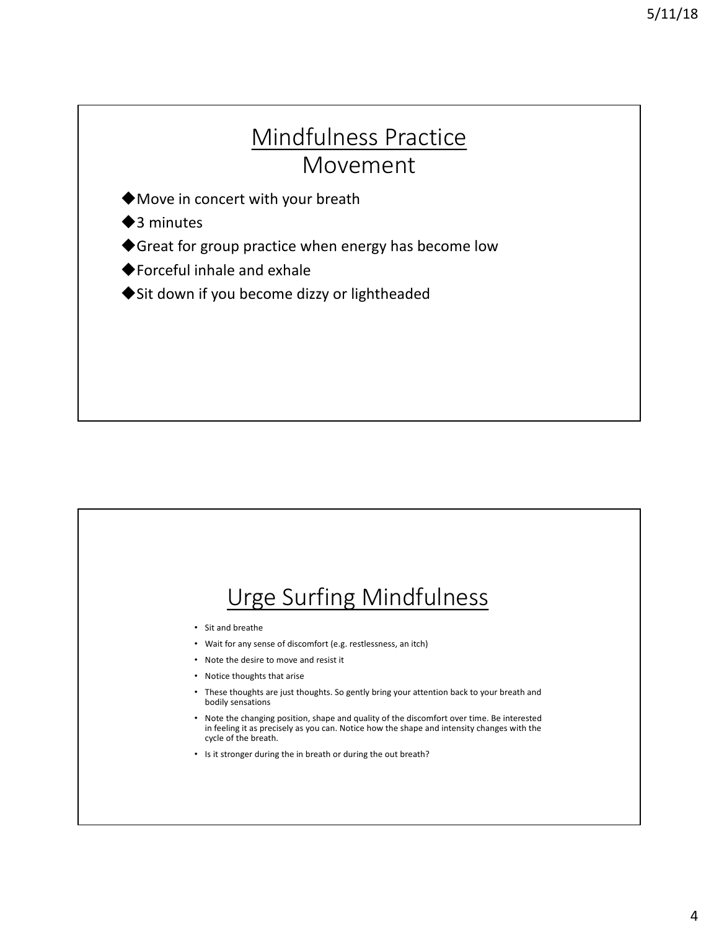#### Mindfulness Practice Movement

 $\blacklozenge$  Move in concert with your breath

 $\triangle$ 3 minutes

◆ Great for group practice when energy has become low

 $\blacklozenge$  Forceful inhale and exhale

◆ Sit down if you become dizzy or lightheaded

## Urge Surfing Mindfulness • Sit and breathe • Wait for any sense of discomfort (e.g. restlessness, an itch) • Note the desire to move and resist it • Notice thoughts that arise • These thoughts are just thoughts. So gently bring your attention back to your breath and bodily sensations • Note the changing position, shape and quality of the discomfort over time. Be interested in feeling it as precisely as you can. Notice how the shape and intensity changes with the cycle of the breath. • Is it stronger during the in breath or during the out breath?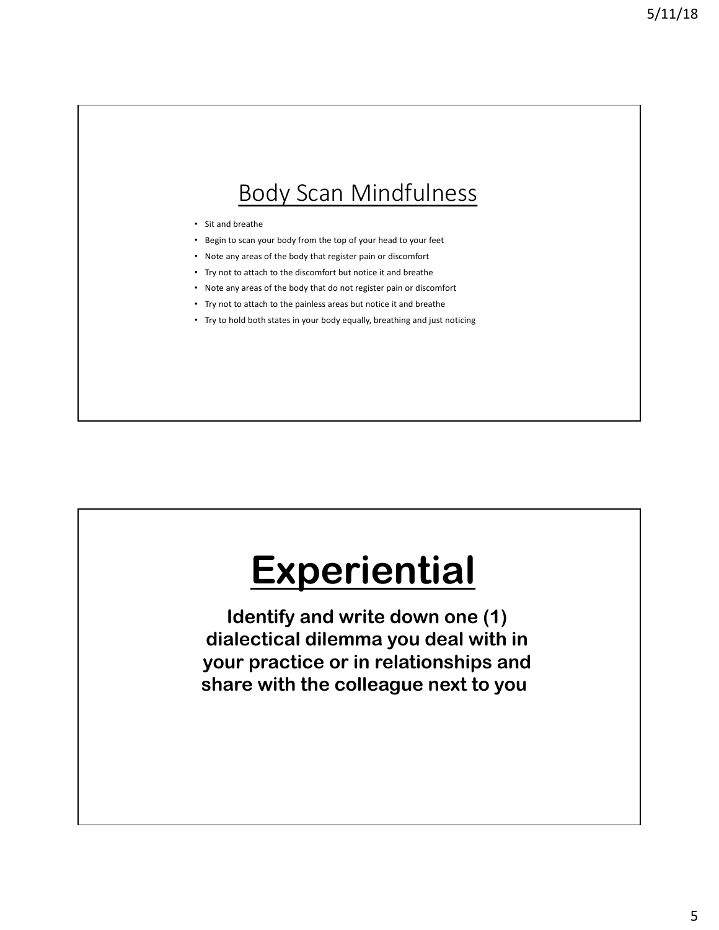#### Body Scan Mindfulness

- Sit and breathe
- Begin to scan your body from the top of your head to your feet
- Note any areas of the body that register pain or discomfort
- Try not to attach to the discomfort but notice it and breathe
- Note any areas of the body that do not register pain or discomfort
- Try not to attach to the painless areas but notice it and breathe
- Try to hold both states in your body equally, breathing and just noticing

# **Experiential**

**Identify and write down one (1) dialectical dilemma you deal with in your practice or in relationships and share with the colleague next to you.**